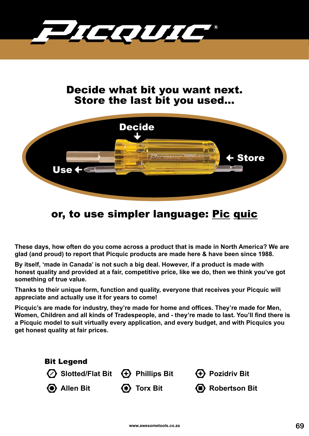

## Decide what bit you want next. Store the last bit you used...



## or, to use simpler language: Pic quic

**These days, how often do you come across a product that is made in North America? We are glad (and proud) to report that Picquic products are made here & have been since 1988.**

**By itself, 'made in Canada' is not such a big deal. However, if a product is made with honest quality and provided at a fair, competitive price, like we do, then we think you've got something of true value.** 

**Thanks to their unique form, function and quality, everyone that receives your Picquic will appreciate and actually use it for years to come!**

**Picquic's are made for industry, they're made for home and offices. They're made for Men, Women, Children and all kinds of Tradespeople, and - they're made to last. You'll find there is a Picquic model to suit virtually every application, and every budget, and with Picquics you get honest quality at fair prices.**

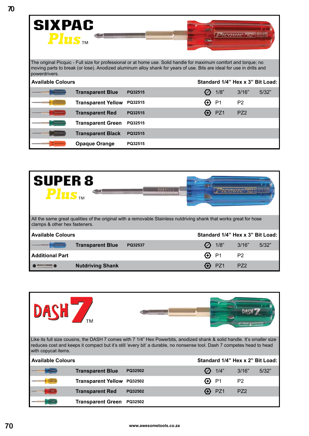| <b>SIXPAC</b><br>$\boldsymbol{P}\boldsymbol{I}\boldsymbol{\mathbf{u}}\boldsymbol{S}_{\text{TM}}$ |                           |                                                                                                                                                                                                                                            |                 |                 |                                  |
|--------------------------------------------------------------------------------------------------|---------------------------|--------------------------------------------------------------------------------------------------------------------------------------------------------------------------------------------------------------------------------------------|-----------------|-----------------|----------------------------------|
| powerdrivers.                                                                                    |                           | The original Picquic - Full size for professional or at home use. Solid handle for maximum comfort and torque; no<br>moving parts to break (or lose). Anodized aluminum alloy shank for years of use. Bits are ideal for use in drills and |                 |                 |                                  |
| <b>Available Colours</b>                                                                         |                           |                                                                                                                                                                                                                                            |                 |                 | Standard 1/4" Hex x 3" Bit Load: |
|                                                                                                  | <b>Transparent Blue</b>   | PQ32515                                                                                                                                                                                                                                    | 1/8"            | 3/16"           | 5/32"                            |
|                                                                                                  | <b>Transparent Yellow</b> | PQ32515                                                                                                                                                                                                                                    | P1              | P <sub>2</sub>  |                                  |
|                                                                                                  | <b>Transparent Red</b>    | PQ32515                                                                                                                                                                                                                                    | PZ <sub>1</sub> | PZ <sub>2</sub> |                                  |
|                                                                                                  | <b>Transparent Green</b>  | PQ32515                                                                                                                                                                                                                                    |                 |                 |                                  |
|                                                                                                  | <b>Transparent Black</b>  | PQ32515                                                                                                                                                                                                                                    |                 |                 |                                  |
|                                                                                                  | <b>Opaque Orange</b>      | PQ32515                                                                                                                                                                                                                                    |                 |                 |                                  |



| DASH Z                   |                           |                                                                                                                                                                                                                                                    |   |                |                 |                                  |
|--------------------------|---------------------------|----------------------------------------------------------------------------------------------------------------------------------------------------------------------------------------------------------------------------------------------------|---|----------------|-----------------|----------------------------------|
| with copycat items.      |                           | Like its full size cousins, the DASH 7 comes with 7 1/4" Hex Powerbits, anodized shank & solid handle. It's smaller size<br>reduces cost and keeps it compact but it's still 'every bit' a durable, no nonsense tool. Dash 7 competes head to head |   |                |                 |                                  |
| <b>Available Colours</b> |                           |                                                                                                                                                                                                                                                    |   |                |                 | Standard 1/4" Hex x 2" Bit Load: |
|                          | <b>Transparent Blue</b>   | PQ32502                                                                                                                                                                                                                                            |   | 1/4"           | 3/16"           | 5/32"                            |
|                          | <b>Transparent Yellow</b> | PQ32502                                                                                                                                                                                                                                            | 0 | P <sub>1</sub> | P <sub>2</sub>  |                                  |
|                          | <b>Transparent Red</b>    | PQ32502                                                                                                                                                                                                                                            |   | PZ1            | PZ <sub>2</sub> |                                  |
|                          | <b>Transparent Green</b>  | PQ32502                                                                                                                                                                                                                                            |   |                |                 |                                  |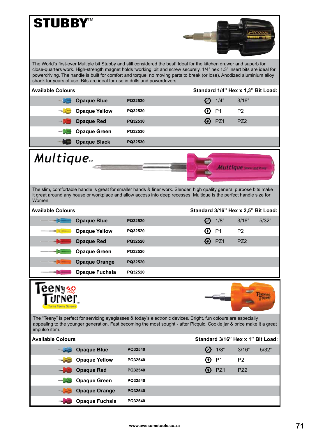| <b>STUBBY™</b>           | The World's first-ever Multiple bit Stubby and still considered the best! Ideal for the kitchen drawer and superb for                                                                                                                                                                                                             |         |                                     |                                    |                       |       |
|--------------------------|-----------------------------------------------------------------------------------------------------------------------------------------------------------------------------------------------------------------------------------------------------------------------------------------------------------------------------------|---------|-------------------------------------|------------------------------------|-----------------------|-------|
|                          | close-quarters work. High-strength magnet holds 'working' bit and screw securely. 1/4" hex 1.3" insert bits are ideal for<br>powerdriving. The handle is built for comfort and torque; no moving parts to break (or lose). Anodized aluminium alloy<br>shank for years of use. Bits are ideal for use in drills and powerdrivers. |         |                                     |                                    |                       |       |
| <b>Available Colours</b> |                                                                                                                                                                                                                                                                                                                                   |         |                                     | Standard 1/4" Hex x 1,3" Bit Load: |                       |       |
|                          | <b>Opaque Blue</b>                                                                                                                                                                                                                                                                                                                | PQ32530 |                                     | 1/4"                               | 3/16"                 |       |
|                          | <b>Opaque Yellow</b>                                                                                                                                                                                                                                                                                                              | PQ32530 | (⊹)                                 | P <sub>1</sub>                     | P <sub>2</sub>        |       |
|                          | <b>Opaque Red</b>                                                                                                                                                                                                                                                                                                                 | PQ32530 |                                     | PZ1                                | PZ <sub>2</sub>       |       |
|                          | <b>Opaque Green</b>                                                                                                                                                                                                                                                                                                               | PQ32530 |                                     |                                    |                       |       |
|                          | <b>Opaque Black</b>                                                                                                                                                                                                                                                                                                               | PQ32530 |                                     |                                    |                       |       |
| <b>Multique</b>          |                                                                                                                                                                                                                                                                                                                                   |         |                                     |                                    | Multique second these |       |
| Women.                   | The slim, comfortable handle is great for smaller hands & finer work. Slender, high quality general purpose bits make<br>it great around any house or workplace and allow access into deep recesses. Multique is the perfect handle size for                                                                                      |         |                                     |                                    |                       |       |
| <b>Available Colours</b> |                                                                                                                                                                                                                                                                                                                                   |         | Standard 3/16" Hex x 2,5" Bit Load: |                                    |                       |       |
|                          | <b>Opaque Blue</b>                                                                                                                                                                                                                                                                                                                | PQ32520 |                                     | 1/8"                               | 3/16"                 | 5/32" |
|                          | <b>Opaque Yellow</b>                                                                                                                                                                                                                                                                                                              | PQ32520 | $(\rightarrow)$                     | P <sub>1</sub>                     | P <sub>2</sub>        |       |
|                          | <b>Opaque Red</b>                                                                                                                                                                                                                                                                                                                 | PQ32520 |                                     | PZ1                                | <b>P72</b>            |       |
|                          | <b>Opaque Green</b>                                                                                                                                                                                                                                                                                                               | PQ32520 |                                     |                                    |                       |       |
|                          | <b>Opaque Orange</b>                                                                                                                                                                                                                                                                                                              | PQ32520 |                                     |                                    |                       |       |
|                          | <b>Opaque Fuchsia</b>                                                                                                                                                                                                                                                                                                             | PQ32520 |                                     |                                    |                       |       |
| .<br>CCNY%               |                                                                                                                                                                                                                                                                                                                                   |         |                                     |                                    |                       |       |
| impulse item.            | The "Teeny" is perfect for servicing eyeglasses & today's electronic devices. Bright, fun colours are especially<br>appealing to the younger generation. Fast becoming the most sought - after Picquic. Cookie jar & price make it a great                                                                                        |         |                                     |                                    |                       |       |
| <b>Available Colours</b> |                                                                                                                                                                                                                                                                                                                                   |         |                                     | Standard 3/16" Hex x 1" Bit Load:  |                       |       |
|                          | <b>Opaque Blue</b>                                                                                                                                                                                                                                                                                                                | PQ32540 |                                     | 1/8"                               | 3/16"                 | 5/32" |
|                          | <b>Opaque Yellow</b>                                                                                                                                                                                                                                                                                                              | PQ32540 | $\leftrightarrow$                   | P <sub>1</sub>                     | P <sub>2</sub>        |       |
|                          | <b>Opaque Red</b>                                                                                                                                                                                                                                                                                                                 | PQ32540 | ⊕                                   | PZ1                                | PZ <sub>2</sub>       |       |
|                          | <b>Opaque Green</b>                                                                                                                                                                                                                                                                                                               | PQ32540 |                                     |                                    |                       |       |
|                          | <b>Opaque Orange</b>                                                                                                                                                                                                                                                                                                              | PQ32540 |                                     |                                    |                       |       |
|                          | <b>Opaque Fuchsia</b>                                                                                                                                                                                                                                                                                                             | PQ32540 |                                     |                                    |                       |       |